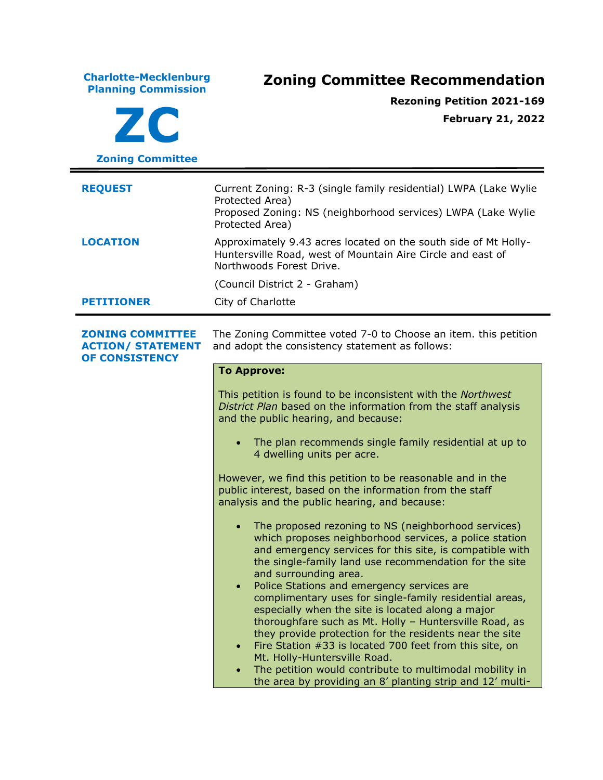**Charlotte-Mecklenburg Planning Commission Zoning Committee Recommendation ZC Zoning Committee Rezoning Petition 2021-169 February 21, 2022 REQUEST** Current Zoning: R-3 (single family residential) LWPA (Lake Wylie Protected Area) Proposed Zoning: NS (neighborhood services) LWPA (Lake Wylie Protected Area) **LOCATION** Approximately 9.43 acres located on the south side of Mt Holly-Huntersville Road, west of Mountain Aire Circle and east of Northwoods Forest Drive. (Council District 2 - Graham) **PETITIONER** City of Charlotte **ZONING COMMITTEE ACTION/ STATEMENT OF CONSISTENCY** The Zoning Committee voted 7-0 to Choose an item. this petition and adopt the consistency statement as follows: **To Approve:** This petition is found to be inconsistent with the *Northwest District Plan* based on the information from the staff analysis and the public hearing, and because: • The plan recommends single family residential at up to 4 dwelling units per acre. However, we find this petition to be reasonable and in the public interest, based on the information from the staff analysis and the public hearing, and because: • The proposed rezoning to NS (neighborhood services) which proposes neighborhood services, a police station and emergency services for this site, is compatible with the single-family land use recommendation for the site and surrounding area. • Police Stations and emergency services are complimentary uses for single-family residential areas, especially when the site is located along a major thoroughfare such as Mt. Holly – Huntersville Road, as they provide protection for the residents near the site • Fire Station #33 is located 700 feet from this site, on Mt. Holly-Huntersville Road. • The petition would contribute to multimodal mobility in the area by providing an 8' planting strip and 12' multi-